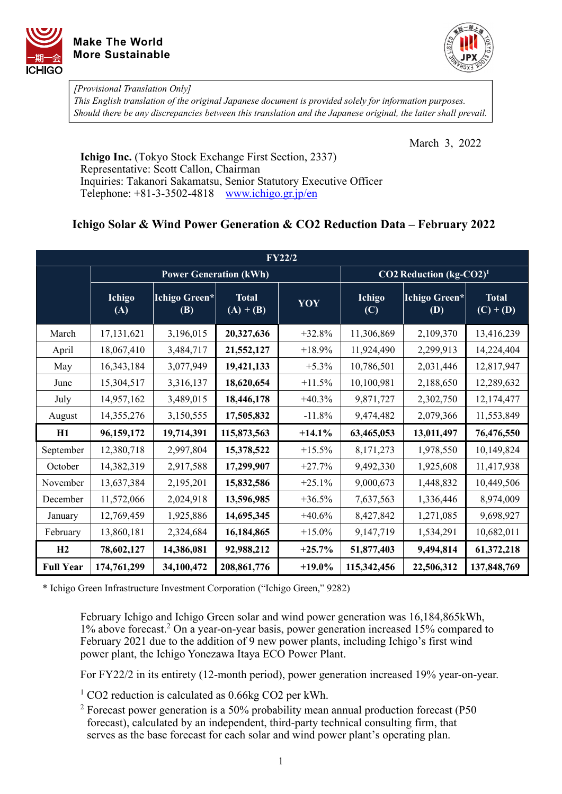



*[Provisional Translation Only]* 

*This English translation of the original Japanese document is provided solely for information purposes. Should there be any discrepancies between this translation and the Japanese original, the latter shall prevail.*

March 3, 2022

**Ichigo Inc.** (Tokyo Stock Exchange First Section, 2337) Representative: Scott Callon, Chairman Inquiries: Takanori Sakamatsu, Senior Statutory Executive Officer Telephone: +81-3-3502-4818 [www.ichigo.gr.jp/en](https://www.ichigo.gr.jp/en)

## **Ichigo Solar & Wind Power Generation & CO2 Reduction Data – February 2022**

| <b>FY22/2</b>    |               |                               |                             |                                     |               |                      |                             |  |  |  |  |
|------------------|---------------|-------------------------------|-----------------------------|-------------------------------------|---------------|----------------------|-----------------------------|--|--|--|--|
|                  |               | <b>Power Generation (kWh)</b> |                             | CO2 Reduction (kg-CO2) <sup>1</sup> |               |                      |                             |  |  |  |  |
|                  | Ichigo<br>(A) | Ichigo Green*<br><b>(B)</b>   | <b>Total</b><br>$(A) + (B)$ | YOY                                 | Ichigo<br>(C) | Ichigo Green*<br>(D) | <b>Total</b><br>$(C) + (D)$ |  |  |  |  |
| March            | 17,131,621    | 3,196,015                     | 20,327,636                  | $+32.8%$                            | 11,306,869    | 2,109,370            | 13,416,239                  |  |  |  |  |
| April            | 18,067,410    | 3,484,717                     | 21,552,127                  | $+18.9%$                            | 11,924,490    | 2,299,913            | 14,224,404                  |  |  |  |  |
| May              | 16,343,184    | 3,077,949                     | 19,421,133                  | $+5.3\%$                            | 10,786,501    | 2,031,446            | 12,817,947                  |  |  |  |  |
| June             | 15,304,517    | 3,316,137                     | 18,620,654                  | $+11.5%$                            | 10,100,981    | 2,188,650            | 12,289,632                  |  |  |  |  |
| July             | 14,957,162    | 3,489,015                     | 18,446,178                  | $+40.3%$                            | 9,871,727     | 2,302,750            | 12,174,477                  |  |  |  |  |
| August           | 14,355,276    | 3,150,555                     | 17,505,832                  | $-11.8%$                            | 9,474,482     | 2,079,366            | 11,553,849                  |  |  |  |  |
| H1               | 96,159,172    | 19,714,391                    | 115,873,563                 | $+14.1%$                            | 63,465,053    | 13,011,497           | 76,476,550                  |  |  |  |  |
| September        | 12,380,718    | 2,997,804                     | 15,378,522                  | $+15.5%$                            | 8,171,273     | 1,978,550            | 10,149,824                  |  |  |  |  |
| October          | 14,382,319    | 2,917,588                     | 17,299,907                  | $+27.7%$                            | 9,492,330     | 1,925,608            | 11,417,938                  |  |  |  |  |
| November         | 13,637,384    | 2,195,201                     | 15,832,586                  | $+25.1%$                            | 9,000,673     | 1,448,832            | 10,449,506                  |  |  |  |  |
| December         | 11,572,066    | 2,024,918                     | 13,596,985                  | $+36.5%$                            | 7,637,563     | 1,336,446            | 8,974,009                   |  |  |  |  |
| January          | 12,769,459    | 1,925,886                     | 14,695,345                  | $+40.6%$                            | 8,427,842     | 1,271,085            | 9,698,927                   |  |  |  |  |
| February         | 13,860,181    | 2,324,684                     | 16,184,865                  | $+15.0\%$                           | 9,147,719     | 1,534,291            | 10,682,011                  |  |  |  |  |
| H2               | 78,602,127    | 14,386,081                    | 92,988,212                  | $+25.7%$                            | 51,877,403    | 9,494,814            | 61,372,218                  |  |  |  |  |
| <b>Full Year</b> | 174,761,299   | 34,100,472                    | 208,861,776                 | $+19.0\%$                           | 115,342,456   | 22,506,312           | 137,848,769                 |  |  |  |  |

\* Ichigo Green Infrastructure Investment Corporation ("Ichigo Green," 9282)

February Ichigo and Ichigo Green solar and wind power generation was 16,184,865kWh, 1% above forecast.2 On a year-on-year basis, power generation increased 15% compared to February 2021 due to the addition of 9 new power plants, including Ichigo's first wind power plant, the Ichigo Yonezawa Itaya ECO Power Plant.

For FY22/2 in its entirety (12-month period), power generation increased 19% year-on-year.

<sup>1</sup> CO2 reduction is calculated as 0.66kg CO2 per kWh.

<sup>2</sup> Forecast power generation is a 50% probability mean annual production forecast (P50 forecast), calculated by an independent, third-party technical consulting firm, that serves as the base forecast for each solar and wind power plant's operating plan.